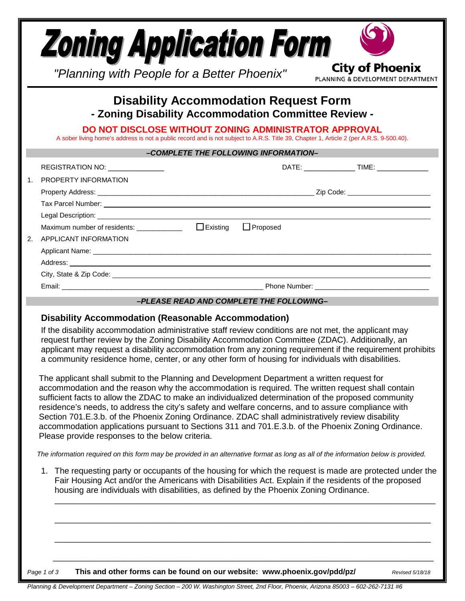|    | <b>Zoning Application Form</b><br>"Planning with People for a Better Phoenix"                                                                                                                                                                                                                            |                 | <b>City of Phoenix</b><br>PLANNING & DEVELOPMENT DEPARTMENT |
|----|----------------------------------------------------------------------------------------------------------------------------------------------------------------------------------------------------------------------------------------------------------------------------------------------------------|-----------------|-------------------------------------------------------------|
|    | <b>Disability Accommodation Request Form</b><br>- Zoning Disability Accommodation Committee Review -<br>DO NOT DISCLOSE WITHOUT ZONING ADMINISTRATOR APPROVAL<br>A sober living home's address is not a public record and is not subject to A.R.S. Title 39, Chapter 1, Article 2 (per A.R.S. 9-500.40). |                 |                                                             |
|    | -COMPLETE THE FOLLOWING INFORMATION-                                                                                                                                                                                                                                                                     |                 |                                                             |
|    | REGISTRATION NO:                                                                                                                                                                                                                                                                                         |                 |                                                             |
|    | 1. PROPERTY INFORMATION                                                                                                                                                                                                                                                                                  |                 |                                                             |
|    |                                                                                                                                                                                                                                                                                                          |                 |                                                             |
|    | Tax Parcel Number: <u>Alexander State of Australian Contractor</u>                                                                                                                                                                                                                                       |                 |                                                             |
|    | Legal Description: <u>contract and contract and contract and contract and contract and contract and contract and contract and contract and contract and contract and contract and contract and contract and contract and contrac</u>                                                                     |                 |                                                             |
|    |                                                                                                                                                                                                                                                                                                          | $\Box$ Proposed |                                                             |
| 2. | APPLICANT INFORMATION                                                                                                                                                                                                                                                                                    |                 |                                                             |
|    |                                                                                                                                                                                                                                                                                                          |                 |                                                             |
|    |                                                                                                                                                                                                                                                                                                          |                 |                                                             |
|    |                                                                                                                                                                                                                                                                                                          |                 |                                                             |
|    |                                                                                                                                                                                                                                                                                                          |                 |                                                             |
|    | -PLEASE READ AND COMPLETE THE FOLLOWING-                                                                                                                                                                                                                                                                 |                 |                                                             |

## **Disability Accommodation (Reasonable Accommodation)**

If the disability accommodation administrative staff review conditions are not met, the applicant may request further review by the Zoning Disability Accommodation Committee (ZDAC). Additionally, an applicant may request a disability accommodation from any zoning requirement if the requirement prohibits a community residence home, center, or any other form of housing for individuals with disabilities.

 The applicant shall submit to the Planning and Development Department a written request for accommodation and the reason why the accommodation is required. The written request shall contain sufficient facts to allow the ZDAC to make an individualized determination of the proposed community residence's needs, to address the city's safety and welfare concerns, and to assure compliance with Section 701.E.3.b. of the Phoenix Zoning Ordinance. ZDAC shall administratively review disability accommodation applications pursuant to Sections 311 and 701.E.3.b. of the Phoenix Zoning Ordinance. Please provide responses to the below criteria.

 *The information required on this form may be provided in an alternative format as long as all of the information below is provided.*

1. The requesting party or occupants of the housing for which the request is made are protected under the Fair Housing Act and/or the Americans with Disabilities Act. Explain if the residents of the proposed housing are individuals with disabilities, as defined by the Phoenix Zoning Ordinance. \_\_\_\_\_\_\_\_\_\_\_\_\_\_\_\_\_\_\_\_\_\_\_\_\_\_\_\_\_\_\_\_\_\_\_\_\_\_\_\_\_\_\_\_\_\_\_\_\_\_\_\_\_\_\_\_\_\_\_\_\_\_\_\_\_\_\_\_\_\_\_\_\_\_\_\_\_\_\_\_\_\_

\_\_\_\_\_\_\_\_\_\_\_\_\_\_\_\_\_\_\_\_\_\_\_\_\_\_\_\_\_\_\_\_\_\_\_\_\_\_\_\_\_\_\_\_\_\_\_\_\_\_\_\_\_\_\_\_\_\_\_\_\_\_\_\_\_\_\_\_\_\_\_\_\_\_\_\_\_\_\_\_\_

\_\_\_\_\_\_\_\_\_\_\_\_\_\_\_\_\_\_\_\_\_\_\_\_\_\_\_\_\_\_\_\_\_\_\_\_\_\_\_\_\_\_\_\_\_\_\_\_\_\_\_\_\_\_\_\_\_\_\_\_\_\_\_\_\_\_\_\_\_\_\_\_\_\_\_\_\_\_\_\_\_

\_\_\_\_\_\_\_\_\_\_\_\_\_\_\_\_\_\_\_\_\_\_\_\_\_\_\_\_\_\_\_\_\_\_\_\_\_\_\_\_\_\_\_\_\_\_\_\_\_\_\_\_\_\_\_\_\_\_\_\_\_\_\_\_\_\_\_\_\_\_\_\_\_\_\_\_\_\_\_\_\_\_

*Page 1 of 3* **This and other forms can be found on our website: www.phoenix.gov/pdd/pz/** *Revised 5/18/18*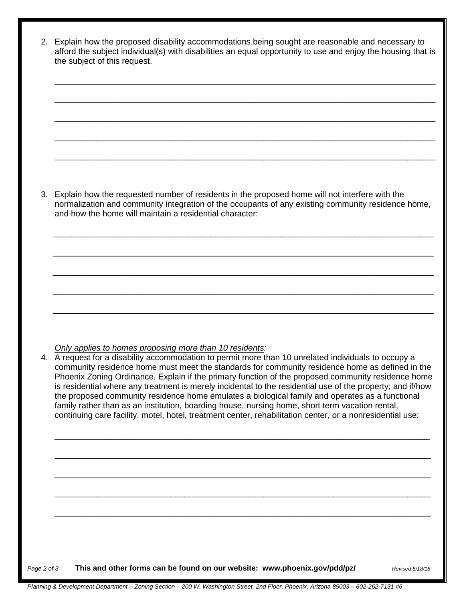| and how the home will maintain a residential character: | 3. Explain how the requested number of residents in the proposed home will not interfere with the<br>normalization and community integration of the occupants of any existing community residence home,                                                                                                                                                                                                                                                                                                                                                                                                                                                                                                                                        |
|---------------------------------------------------------|------------------------------------------------------------------------------------------------------------------------------------------------------------------------------------------------------------------------------------------------------------------------------------------------------------------------------------------------------------------------------------------------------------------------------------------------------------------------------------------------------------------------------------------------------------------------------------------------------------------------------------------------------------------------------------------------------------------------------------------------|
|                                                         |                                                                                                                                                                                                                                                                                                                                                                                                                                                                                                                                                                                                                                                                                                                                                |
|                                                         |                                                                                                                                                                                                                                                                                                                                                                                                                                                                                                                                                                                                                                                                                                                                                |
|                                                         |                                                                                                                                                                                                                                                                                                                                                                                                                                                                                                                                                                                                                                                                                                                                                |
|                                                         |                                                                                                                                                                                                                                                                                                                                                                                                                                                                                                                                                                                                                                                                                                                                                |
|                                                         |                                                                                                                                                                                                                                                                                                                                                                                                                                                                                                                                                                                                                                                                                                                                                |
|                                                         |                                                                                                                                                                                                                                                                                                                                                                                                                                                                                                                                                                                                                                                                                                                                                |
|                                                         | 4. A request for a disability accommodation to permit more than 10 unrelated individuals to occupy a<br>community residence home must meet the standards for community residence home as defined in the<br>Phoenix Zoning Ordinance. Explain if the primary function of the proposed community residence home<br>is residential where any treatment is merely incidental to the residential use of the property; and if/how<br>the proposed community residence home emulates a biological family and operates as a functional<br>family rather than as an institution, boarding house, nursing home, short term vacation rental,<br>continuing care facility, motel, hotel, treatment center, rehabilitation center, or a nonresidential use: |
|                                                         |                                                                                                                                                                                                                                                                                                                                                                                                                                                                                                                                                                                                                                                                                                                                                |
|                                                         |                                                                                                                                                                                                                                                                                                                                                                                                                                                                                                                                                                                                                                                                                                                                                |
|                                                         |                                                                                                                                                                                                                                                                                                                                                                                                                                                                                                                                                                                                                                                                                                                                                |
|                                                         |                                                                                                                                                                                                                                                                                                                                                                                                                                                                                                                                                                                                                                                                                                                                                |
|                                                         |                                                                                                                                                                                                                                                                                                                                                                                                                                                                                                                                                                                                                                                                                                                                                |
|                                                         | Only applies to homes proposing more than 10 residents:                                                                                                                                                                                                                                                                                                                                                                                                                                                                                                                                                                                                                                                                                        |